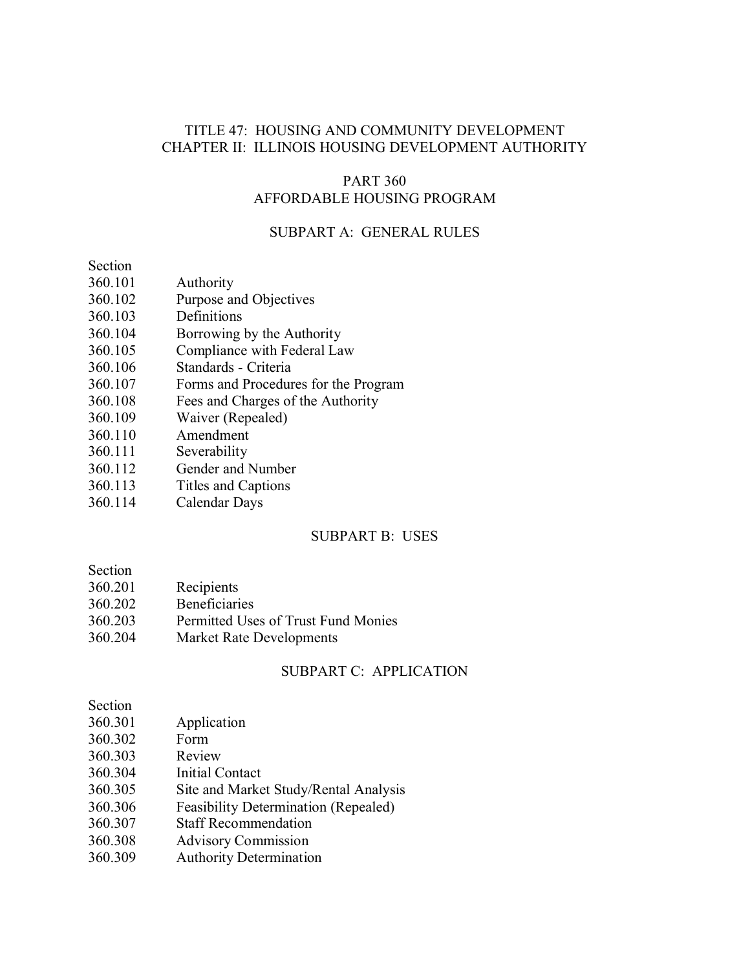## TITLE 47: HOUSING AND COMMUNITY DEVELOPMENT CHAPTER II: ILLINOIS HOUSING DEVELOPMENT AUTHORITY

## PART 360 AFFORDABLE HOUSING PROGRAM

## SUBPART A: GENERAL RULES

Section

- 360.101 Authority
- 360.102 Purpose and Objectives
- 360.103 Definitions
- 360.104 Borrowing by the Authority
- 360.105 Compliance with Federal Law
- 360.106 Standards Criteria
- 360.107 Forms and Procedures for the Program
- 360.108 Fees and Charges of the Authority
- 360.109 Waiver (Repealed)
- 360.110 Amendment
- 360.111 Severability
- 360.112 Gender and Number
- 360.113 Titles and Captions
- 360.114 Calendar Days

### SUBPART B: USES

| Section |  |
|---------|--|
|         |  |

- 360.201 Recipients
- 360.202 Beneficiaries
- 360.203 Permitted Uses of Trust Fund Monies
- 360.204 Market Rate Developments

## SUBPART C: APPLICATION

| Section                                                |  |
|--------------------------------------------------------|--|
| 360.301<br>Application                                 |  |
| 360.302<br>Form                                        |  |
| 360.303<br>Review                                      |  |
| 360.304<br><b>Initial Contact</b>                      |  |
| 360.305<br>Site and Market Study/Rental Analysis       |  |
| <b>Feasibility Determination (Repealed)</b><br>360.306 |  |
| <b>Staff Recommendation</b><br>360.307                 |  |
| 360.308<br><b>Advisory Commission</b>                  |  |
| <b>Authority Determination</b><br>360.309              |  |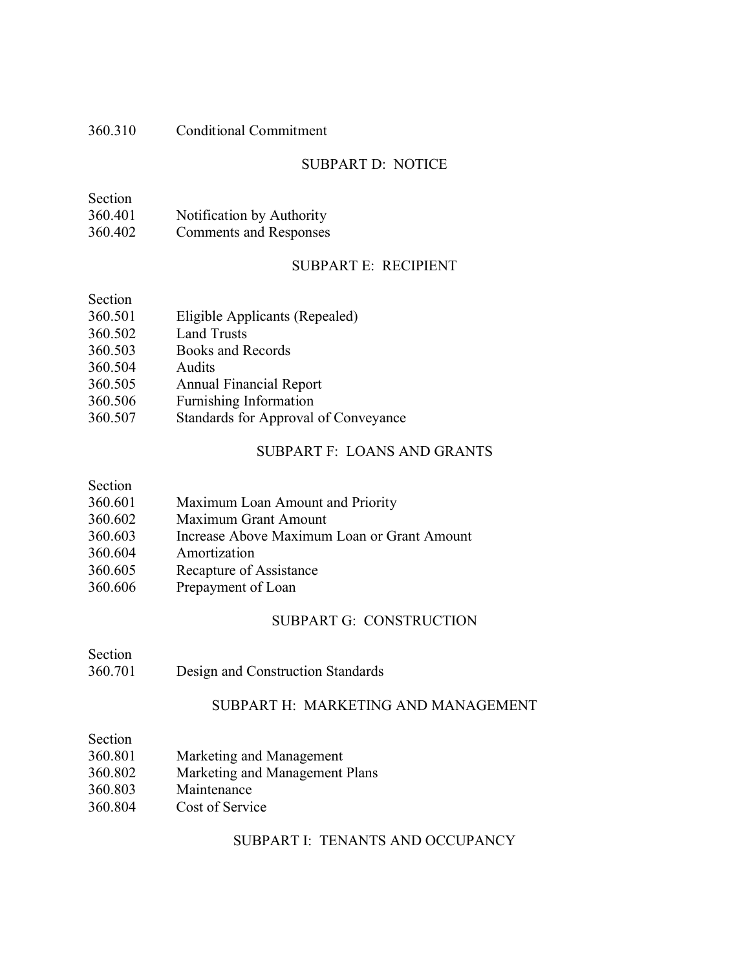## 360.310 Conditional Commitment

# SUBPART D: NOTICE

| Section |                           |
|---------|---------------------------|
| 360.401 | Notification by Authority |
| 360.402 | Comments and Responses    |

## SUBPART E: RECIPIENT

| Section |                                      |
|---------|--------------------------------------|
| 360.501 | Eligible Applicants (Repealed)       |
| 360.502 | <b>Land Trusts</b>                   |
| 360.503 | Books and Records                    |
| 360.504 | Audits                               |
| 360.505 | <b>Annual Financial Report</b>       |
| 360.506 | Furnishing Information               |
| 360.507 | Standards for Approval of Conveyance |

# SUBPART F: LOANS AND GRANTS

# Section

| Maximum Loan Amount and Priority |
|----------------------------------|
|                                  |

- 360.602 Maximum Grant Amount
- 360.603 Increase Above Maximum Loan or Grant Amount
- Amortization
- 360.605 Recapture of Assistance
- 360.606 Prepayment of Loan

## SUBPART G: CONSTRUCTION

# 360.701 Design and Construction Standards

### SUBPART H: MARKETING AND MANAGEMENT

Section

- 360.801 Marketing and Management
- 360.802 Marketing and Management Plans
- 360.803 Maintenance
- 360.804 Cost of Service

## SUBPART I: TENANTS AND OCCUPANCY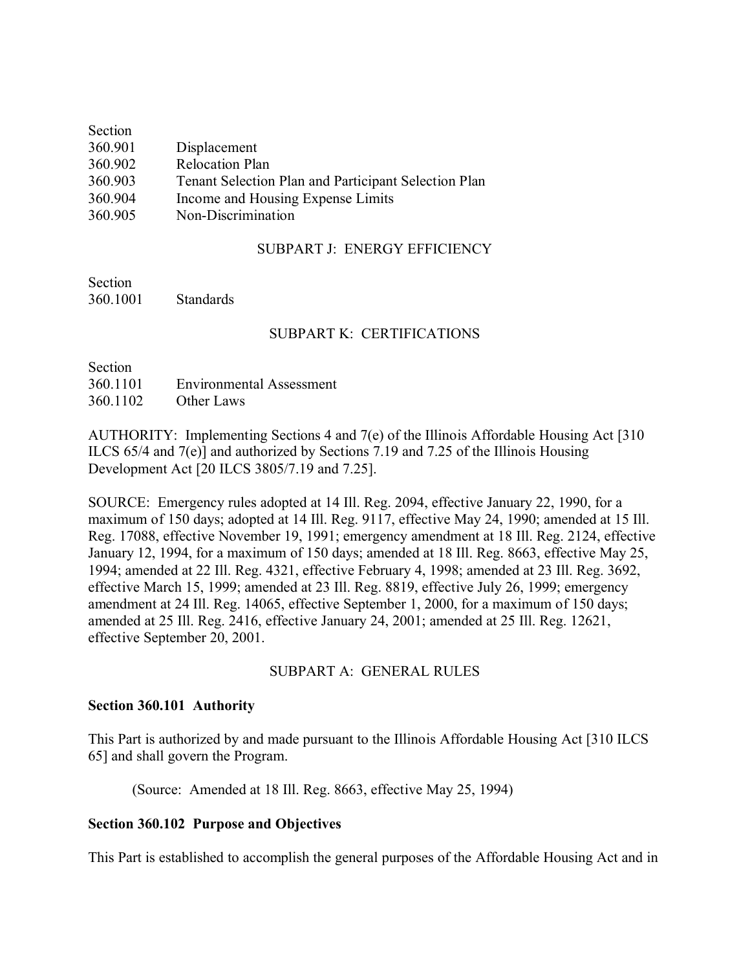| Section |                                                      |
|---------|------------------------------------------------------|
| 360.901 | Displacement                                         |
| 360.902 | <b>Relocation Plan</b>                               |
| 360.903 | Tenant Selection Plan and Participant Selection Plan |
| 360.904 | Income and Housing Expense Limits                    |
| 360.905 | Non-Discrimination                                   |

## SUBPART J: ENERGY EFFICIENCY

Section 360.1001 Standards

## SUBPART K: CERTIFICATIONS

| Section  |                          |
|----------|--------------------------|
| 360.1101 | Environmental Assessment |
| 360.1102 | Other Laws               |

AUTHORITY: Implementing Sections 4 and 7(e) of the Illinois Affordable Housing Act [310] ILCS 65/4 and 7(e)] and authorized by Sections 7.19 and 7.25 of the Illinois Housing Development Act [20 ILCS 3805/7.19 and 7.25].

SOURCE: Emergency rules adopted at 14 Ill. Reg. 2094, effective January 22, 1990, for a maximum of 150 days; adopted at 14 Ill. Reg. 9117, effective May 24, 1990; amended at 15 Ill. Reg. 17088, effective November 19, 1991; emergency amendment at 18 Ill. Reg. 2124, effective January 12, 1994, for a maximum of 150 days; amended at 18 Ill. Reg. 8663, effective May 25, 1994; amended at 22 Ill. Reg. 4321, effective February 4, 1998; amended at 23 Ill. Reg. 3692, effective March 15, 1999; amended at 23 Ill. Reg. 8819, effective July 26, 1999; emergency amendment at 24 Ill. Reg. 14065, effective September 1, 2000, for a maximum of 150 days; amended at 25 Ill. Reg. 2416, effective January 24, 2001; amended at 25 Ill. Reg. 12621, effective September 20, 2001.

## SUBPART A: GENERAL RULES

#### **Section 360.101 Authority**

This Part is authorized by and made pursuant to the Illinois Affordable Housing Act [310 ILCS 65] and shall govern the Program.

(Source: Amended at 18 Ill. Reg. 8663, effective May 25, 1994)

## **Section 360.102 Purpose and Objectives**

This Part is established to accomplish the general purposes of the Affordable Housing Act and in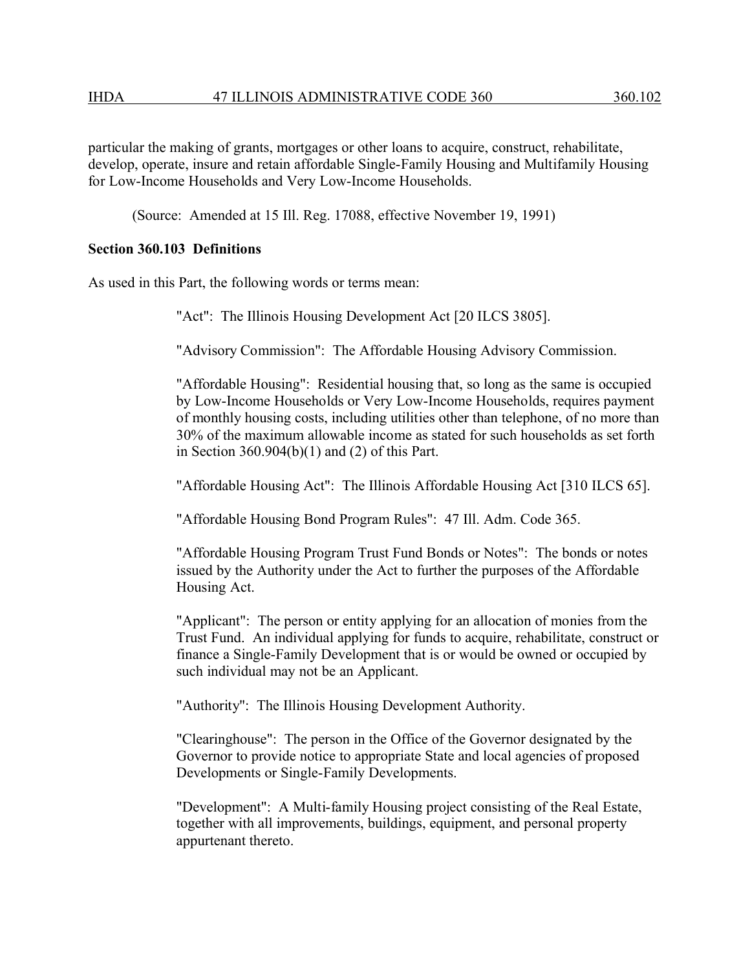particular the making of grants, mortgages or other loans to acquire, construct, rehabilitate, develop, operate, insure and retain affordable Single-Family Housing and Multifamily Housing for Low-Income Households and Very Low-Income Households.

(Source: Amended at 15 Ill. Reg. 17088, effective November 19, 1991)

## **Section 360.103 Definitions**

As used in this Part, the following words or terms mean:

"Act": The Illinois Housing Development Act [20 ILCS 3805].

"Advisory Commission": The Affordable Housing Advisory Commission.

"Affordable Housing": Residential housing that, so long as the same is occupied by Low-Income Households or Very Low-Income Households, requires payment of monthly housing costs, including utilities other than telephone, of no more than 30% of the maximum allowable income as stated for such households as set forth in Section 360.904(b)(1) and (2) of this Part.

"Affordable Housing Act": The Illinois Affordable Housing Act [310 ILCS 65].

"Affordable Housing Bond Program Rules": 47 Ill. Adm. Code 365.

"Affordable Housing Program Trust Fund Bonds or Notes": The bonds or notes issued by the Authority under the Act to further the purposes of the Affordable Housing Act.

"Applicant": The person or entity applying for an allocation of monies from the Trust Fund. An individual applying for funds to acquire, rehabilitate, construct or finance a Single-Family Development that is or would be owned or occupied by such individual may not be an Applicant.

"Authority": The Illinois Housing Development Authority.

"Clearinghouse": The person in the Office of the Governor designated by the Governor to provide notice to appropriate State and local agencies of proposed Developments or Single-Family Developments.

"Development": A Multi-family Housing project consisting of the Real Estate, together with all improvements, buildings, equipment, and personal property appurtenant thereto.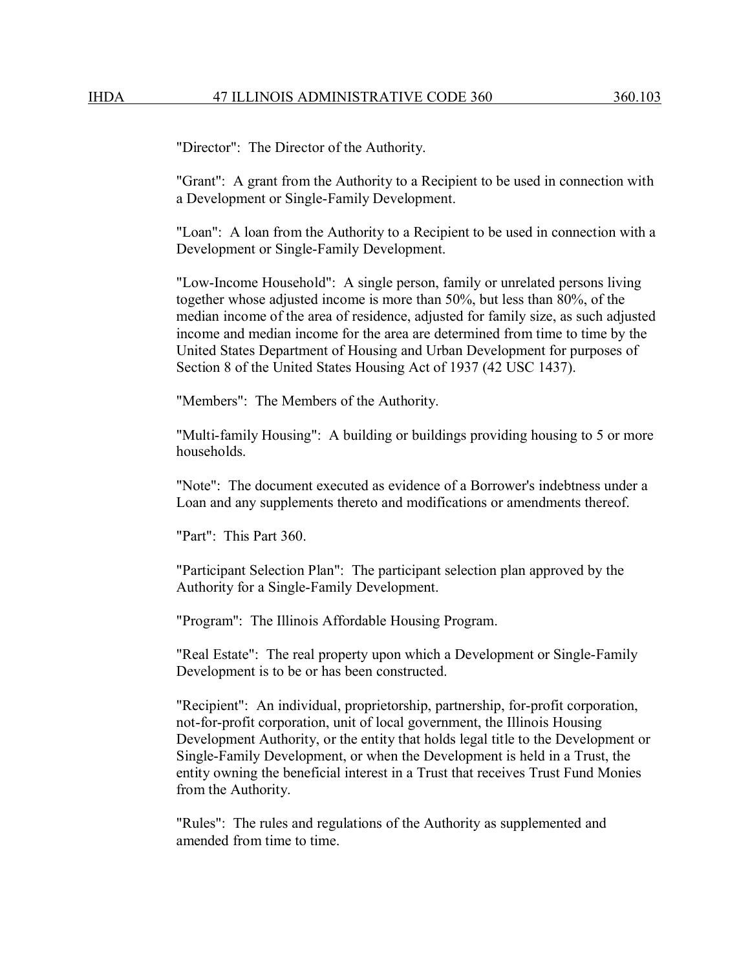"Director": The Director of the Authority.

"Grant": A grant from the Authority to a Recipient to be used in connection with a Development or Single-Family Development.

"Loan": A loan from the Authority to a Recipient to be used in connection with a Development or Single-Family Development.

"Low-Income Household": A single person, family or unrelated persons living together whose adjusted income is more than 50%, but less than 80%, of the median income of the area of residence, adjusted for family size, as such adjusted income and median income for the area are determined from time to time by the United States Department of Housing and Urban Development for purposes of Section 8 of the United States Housing Act of 1937 (42 USC 1437).

"Members": The Members of the Authority.

"Multi-family Housing": A building or buildings providing housing to 5 or more households.

"Note": The document executed as evidence of a Borrower's indebtness under a Loan and any supplements thereto and modifications or amendments thereof.

"Part": This Part 360.

"Participant Selection Plan": The participant selection plan approved by the Authority for a Single-Family Development.

"Program": The Illinois Affordable Housing Program.

"Real Estate": The real property upon which a Development or Single-Family Development is to be or has been constructed.

"Recipient": An individual, proprietorship, partnership, for-profit corporation, not-for-profit corporation, unit of local government, the Illinois Housing Development Authority, or the entity that holds legal title to the Development or Single-Family Development, or when the Development is held in a Trust, the entity owning the beneficial interest in a Trust that receives Trust Fund Monies from the Authority.

"Rules": The rules and regulations of the Authority as supplemented and amended from time to time.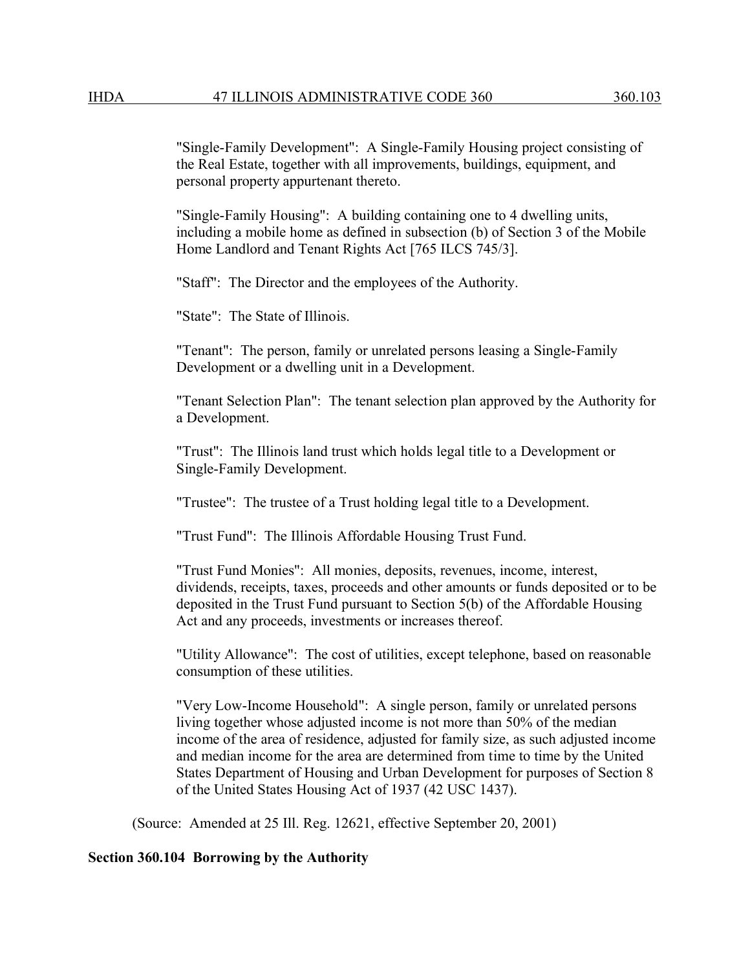"Single-Family Development": A Single-Family Housing project consisting of the Real Estate, together with all improvements, buildings, equipment, and personal property appurtenant thereto.

"Single-Family Housing": A building containing one to 4 dwelling units, including a mobile home as defined in subsection (b) of Section 3 of the Mobile Home Landlord and Tenant Rights Act [765 ILCS 745/3].

"Staff": The Director and the employees of the Authority.

"State": The State of Illinois.

"Tenant": The person, family or unrelated persons leasing a Single-Family Development or a dwelling unit in a Development.

"Tenant Selection Plan": The tenant selection plan approved by the Authority for a Development.

"Trust": The Illinois land trust which holds legal title to a Development or Single-Family Development.

"Trustee": The trustee of a Trust holding legal title to a Development.

"Trust Fund": The Illinois Affordable Housing Trust Fund.

"Trust Fund Monies": All monies, deposits, revenues, income, interest, dividends, receipts, taxes, proceeds and other amounts or funds deposited or to be deposited in the Trust Fund pursuant to Section 5(b) of the Affordable Housing Act and any proceeds, investments or increases thereof.

"Utility Allowance": The cost of utilities, except telephone, based on reasonable consumption of these utilities.

"Very Low-Income Household": A single person, family or unrelated persons living together whose adjusted income is not more than 50% of the median income of the area of residence, adjusted for family size, as such adjusted income and median income for the area are determined from time to time by the United States Department of Housing and Urban Development for purposes of Section 8 of the United States Housing Act of 1937 (42 USC 1437).

(Source: Amended at 25 Ill. Reg. 12621, effective September 20, 2001)

#### **Section 360.104 Borrowing by the Authority**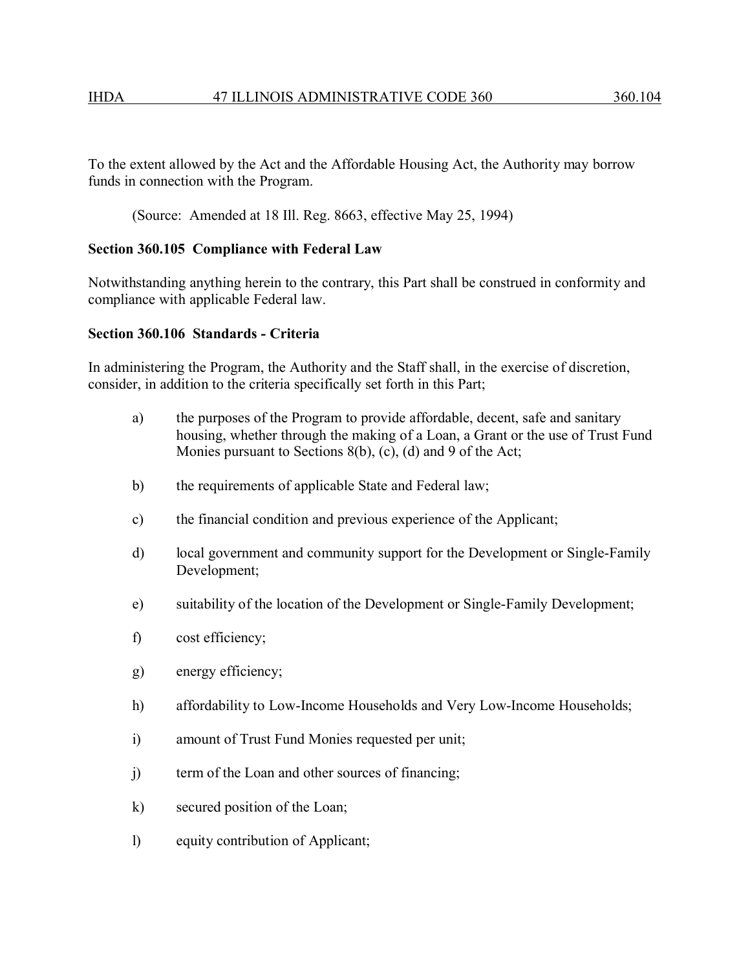To the extent allowed by the Act and the Affordable Housing Act, the Authority may borrow funds in connection with the Program.

(Source: Amended at 18 Ill. Reg. 8663, effective May 25, 1994)

#### **Section 360.105 Compliance with Federal Law**

Notwithstanding anything herein to the contrary, this Part shall be construed in conformity and compliance with applicable Federal law.

#### **Section 360.106 Standards - Criteria**

In administering the Program, the Authority and the Staff shall, in the exercise of discretion, consider, in addition to the criteria specifically set forth in this Part;

- a) the purposes of the Program to provide affordable, decent, safe and sanitary housing, whether through the making of a Loan, a Grant or the use of Trust Fund Monies pursuant to Sections 8(b), (c), (d) and 9 of the Act;
- b) the requirements of applicable State and Federal law;
- c) the financial condition and previous experience of the Applicant;
- d) local government and community support for the Development or Single-Family Development;
- e) suitability of the location of the Development or Single-Family Development;
- f) cost efficiency;
- g) energy efficiency;
- h) affordability to Low-Income Households and Very Low-Income Households;
- i) amount of Trust Fund Monies requested per unit;
- j) term of the Loan and other sources of financing;
- k) secured position of the Loan;
- l) equity contribution of Applicant;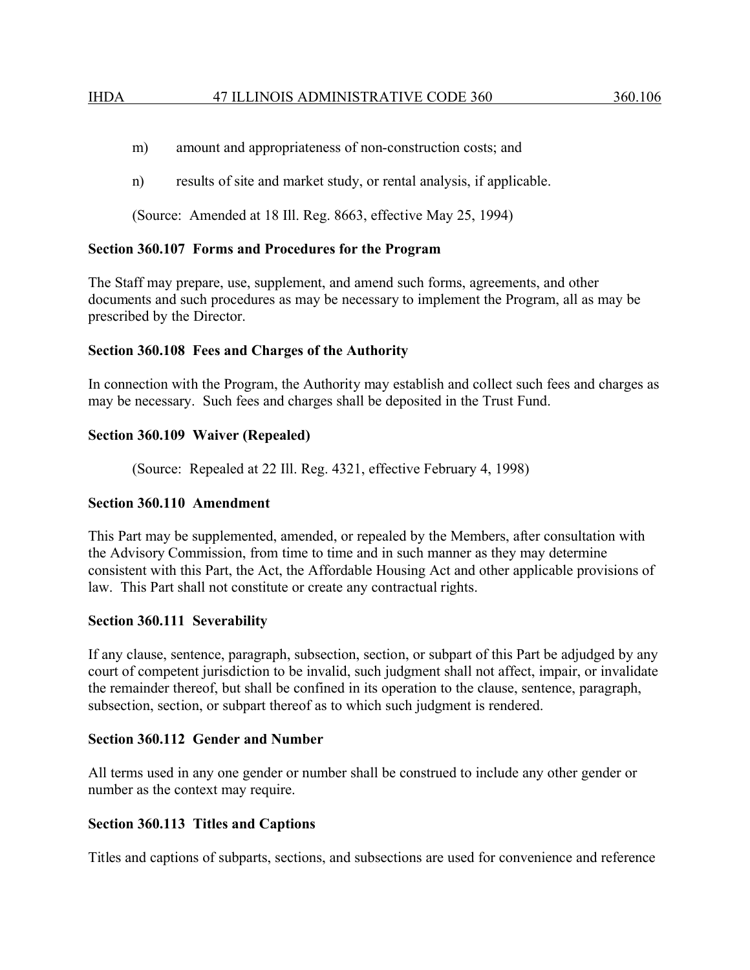- m) amount and appropriateness of non-construction costs; and
- n) results of site and market study, or rental analysis, if applicable.

(Source: Amended at 18 Ill. Reg. 8663, effective May 25, 1994)

## **Section 360.107 Forms and Procedures for the Program**

The Staff may prepare, use, supplement, and amend such forms, agreements, and other documents and such procedures as may be necessary to implement the Program, all as may be prescribed by the Director.

## **Section 360.108 Fees and Charges of the Authority**

In connection with the Program, the Authority may establish and collect such fees and charges as may be necessary. Such fees and charges shall be deposited in the Trust Fund.

## **Section 360.109 Waiver (Repealed)**

(Source: Repealed at 22 Ill. Reg. 4321, effective February 4, 1998)

## **Section 360.110 Amendment**

This Part may be supplemented, amended, or repealed by the Members, after consultation with the Advisory Commission, from time to time and in such manner as they may determine consistent with this Part, the Act, the Affordable Housing Act and other applicable provisions of law. This Part shall not constitute or create any contractual rights.

## **Section 360.111 Severability**

If any clause, sentence, paragraph, subsection, section, or subpart of this Part be adjudged by any court of competent jurisdiction to be invalid, such judgment shall not affect, impair, or invalidate the remainder thereof, but shall be confined in its operation to the clause, sentence, paragraph, subsection, section, or subpart thereof as to which such judgment is rendered.

## **Section 360.112 Gender and Number**

All terms used in any one gender or number shall be construed to include any other gender or number as the context may require.

## **Section 360.113 Titles and Captions**

Titles and captions of subparts, sections, and subsections are used for convenience and reference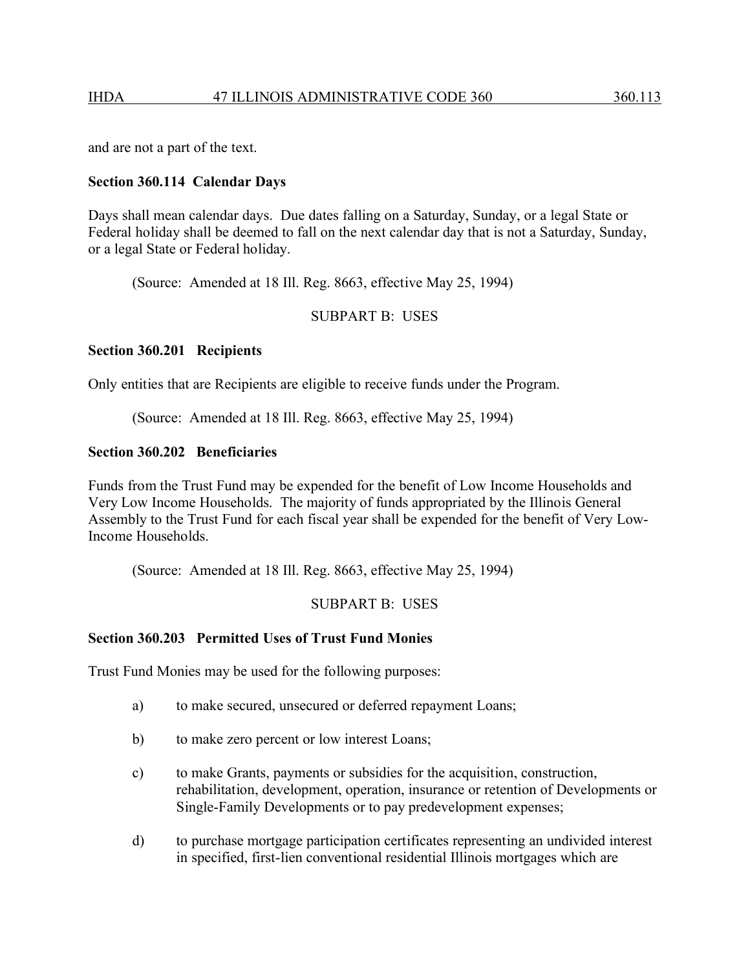and are not a part of the text.

### **Section 360.114 Calendar Days**

Days shall mean calendar days. Due dates falling on a Saturday, Sunday, or a legal State or Federal holiday shall be deemed to fall on the next calendar day that is not a Saturday, Sunday, or a legal State or Federal holiday.

(Source: Amended at 18 Ill. Reg. 8663, effective May 25, 1994)

### SUBPART B: USES

### **Section 360.201 Recipients**

Only entities that are Recipients are eligible to receive funds under the Program.

(Source: Amended at 18 Ill. Reg. 8663, effective May 25, 1994)

### **Section 360.202 Beneficiaries**

Funds from the Trust Fund may be expended for the benefit of Low Income Households and Very Low Income Households. The majority of funds appropriated by the Illinois General Assembly to the Trust Fund for each fiscal year shall be expended for the benefit of Very Low-Income Households.

(Source: Amended at 18 Ill. Reg. 8663, effective May 25, 1994)

SUBPART B: USES

#### **Section 360.203 Permitted Uses of Trust Fund Monies**

Trust Fund Monies may be used for the following purposes:

- a) to make secured, unsecured or deferred repayment Loans;
- b) to make zero percent or low interest Loans;
- c) to make Grants, payments or subsidies for the acquisition, construction, rehabilitation, development, operation, insurance or retention of Developments or Single-Family Developments or to pay predevelopment expenses;
- d) to purchase mortgage participation certificates representing an undivided interest in specified, first-lien conventional residential Illinois mortgages which are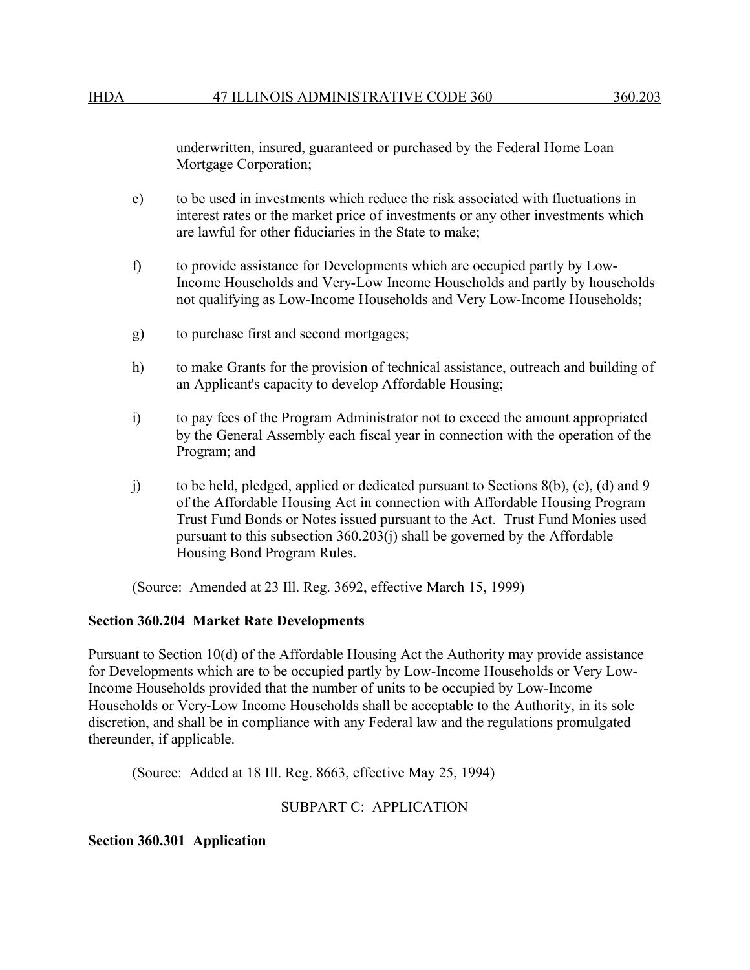underwritten, insured, guaranteed or purchased by the Federal Home Loan Mortgage Corporation;

- e) to be used in investments which reduce the risk associated with fluctuations in interest rates or the market price of investments or any other investments which are lawful for other fiduciaries in the State to make;
- f) to provide assistance for Developments which are occupied partly by Low-Income Households and Very-Low Income Households and partly by households not qualifying as Low-Income Households and Very Low-Income Households;
- g) to purchase first and second mortgages;
- h) to make Grants for the provision of technical assistance, outreach and building of an Applicant's capacity to develop Affordable Housing;
- i) to pay fees of the Program Administrator not to exceed the amount appropriated by the General Assembly each fiscal year in connection with the operation of the Program; and
- j) to be held, pledged, applied or dedicated pursuant to Sections 8(b), (c), (d) and 9 of the Affordable Housing Act in connection with Affordable Housing Program Trust Fund Bonds or Notes issued pursuant to the Act. Trust Fund Monies used pursuant to this subsection 360.203(j) shall be governed by the Affordable Housing Bond Program Rules.

(Source: Amended at 23 Ill. Reg. 3692, effective March 15, 1999)

#### **Section 360.204 Market Rate Developments**

Pursuant to Section 10(d) of the Affordable Housing Act the Authority may provide assistance for Developments which are to be occupied partly by Low-Income Households or Very Low-Income Households provided that the number of units to be occupied by Low-Income Households or Very-Low Income Households shall be acceptable to the Authority, in its sole discretion, and shall be in compliance with any Federal law and the regulations promulgated thereunder, if applicable.

(Source: Added at 18 Ill. Reg. 8663, effective May 25, 1994)

## SUBPART C: APPLICATION

#### **Section 360.301 Application**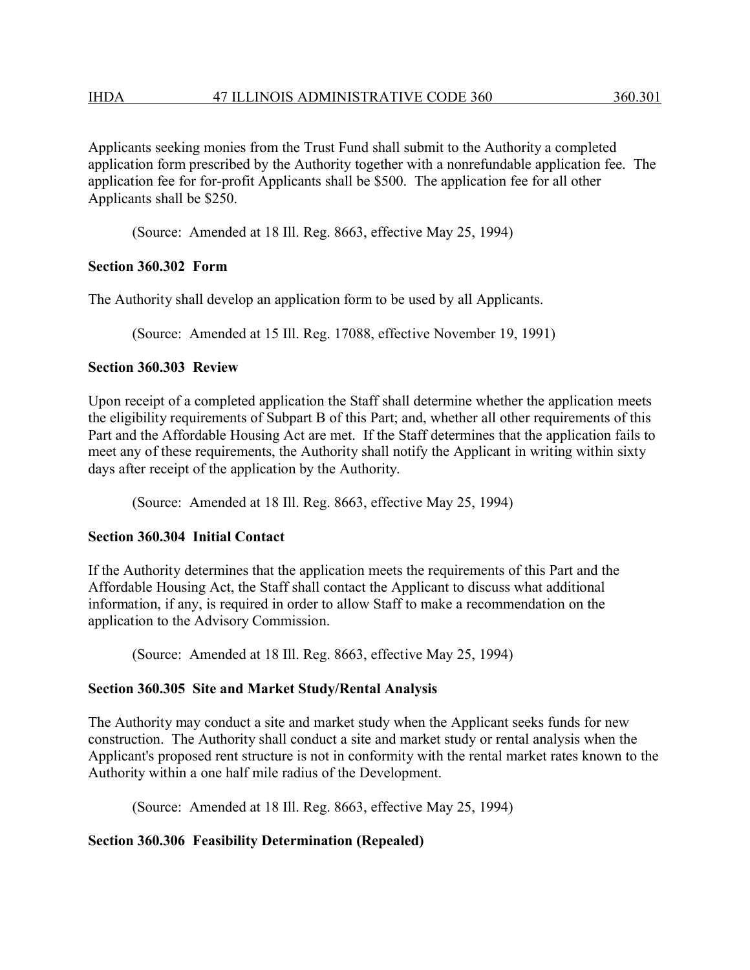Applicants seeking monies from the Trust Fund shall submit to the Authority a completed application form prescribed by the Authority together with a nonrefundable application fee. The application fee for for-profit Applicants shall be \$500. The application fee for all other Applicants shall be \$250.

(Source: Amended at 18 Ill. Reg. 8663, effective May 25, 1994)

### **Section 360.302 Form**

The Authority shall develop an application form to be used by all Applicants.

(Source: Amended at 15 Ill. Reg. 17088, effective November 19, 1991)

### **Section 360.303 Review**

Upon receipt of a completed application the Staff shall determine whether the application meets the eligibility requirements of Subpart B of this Part; and, whether all other requirements of this Part and the Affordable Housing Act are met. If the Staff determines that the application fails to meet any of these requirements, the Authority shall notify the Applicant in writing within sixty days after receipt of the application by the Authority.

(Source: Amended at 18 Ill. Reg. 8663, effective May 25, 1994)

## **Section 360.304 Initial Contact**

If the Authority determines that the application meets the requirements of this Part and the Affordable Housing Act, the Staff shall contact the Applicant to discuss what additional information, if any, is required in order to allow Staff to make a recommendation on the application to the Advisory Commission.

(Source: Amended at 18 Ill. Reg. 8663, effective May 25, 1994)

## **Section 360.305 Site and Market Study/Rental Analysis**

The Authority may conduct a site and market study when the Applicant seeks funds for new construction. The Authority shall conduct a site and market study or rental analysis when the Applicant's proposed rent structure is not in conformity with the rental market rates known to the Authority within a one half mile radius of the Development.

(Source: Amended at 18 Ill. Reg. 8663, effective May 25, 1994)

## **Section 360.306 Feasibility Determination (Repealed)**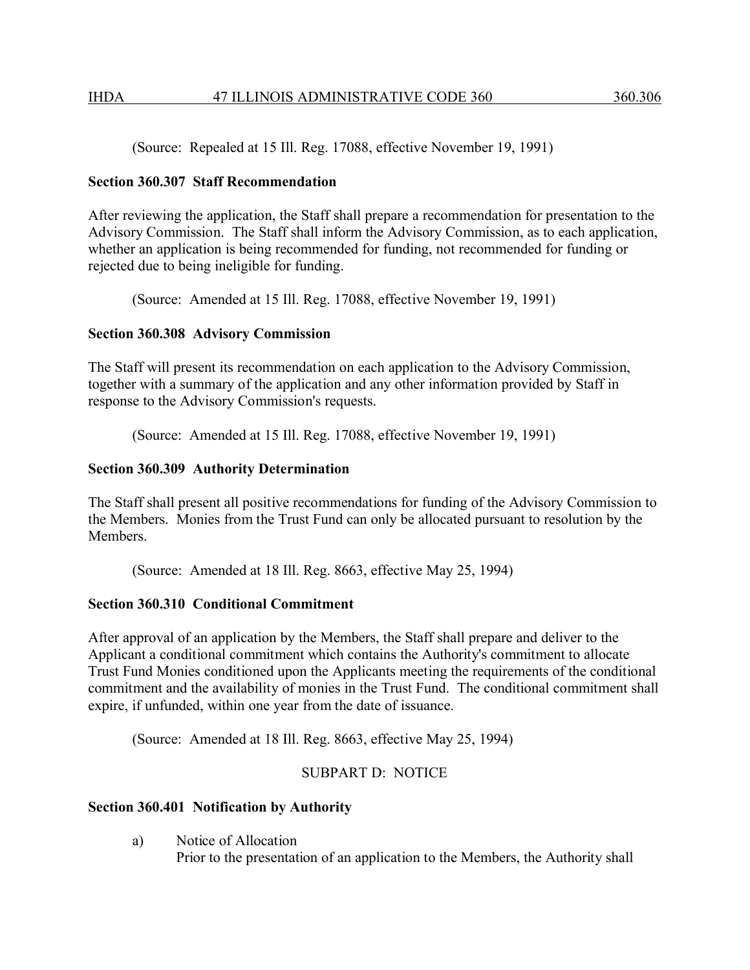(Source: Repealed at 15 Ill. Reg. 17088, effective November 19, 1991)

### **Section 360.307 Staff Recommendation**

After reviewing the application, the Staff shall prepare a recommendation for presentation to the Advisory Commission. The Staff shall inform the Advisory Commission, as to each application, whether an application is being recommended for funding, not recommended for funding or rejected due to being ineligible for funding.

(Source: Amended at 15 Ill. Reg. 17088, effective November 19, 1991)

## **Section 360.308 Advisory Commission**

The Staff will present its recommendation on each application to the Advisory Commission, together with a summary of the application and any other information provided by Staff in response to the Advisory Commission's requests.

(Source: Amended at 15 Ill. Reg. 17088, effective November 19, 1991)

## **Section 360.309 Authority Determination**

The Staff shall present all positive recommendations for funding of the Advisory Commission to the Members. Monies from the Trust Fund can only be allocated pursuant to resolution by the **Members** 

(Source: Amended at 18 Ill. Reg. 8663, effective May 25, 1994)

## **Section 360.310 Conditional Commitment**

After approval of an application by the Members, the Staff shall prepare and deliver to the Applicant a conditional commitment which contains the Authority's commitment to allocate Trust Fund Monies conditioned upon the Applicants meeting the requirements of the conditional commitment and the availability of monies in the Trust Fund. The conditional commitment shall expire, if unfunded, within one year from the date of issuance.

(Source: Amended at 18 Ill. Reg. 8663, effective May 25, 1994)

# SUBPART D: NOTICE

## **Section 360.401 Notification by Authority**

a) Notice of Allocation

Prior to the presentation of an application to the Members, the Authority shall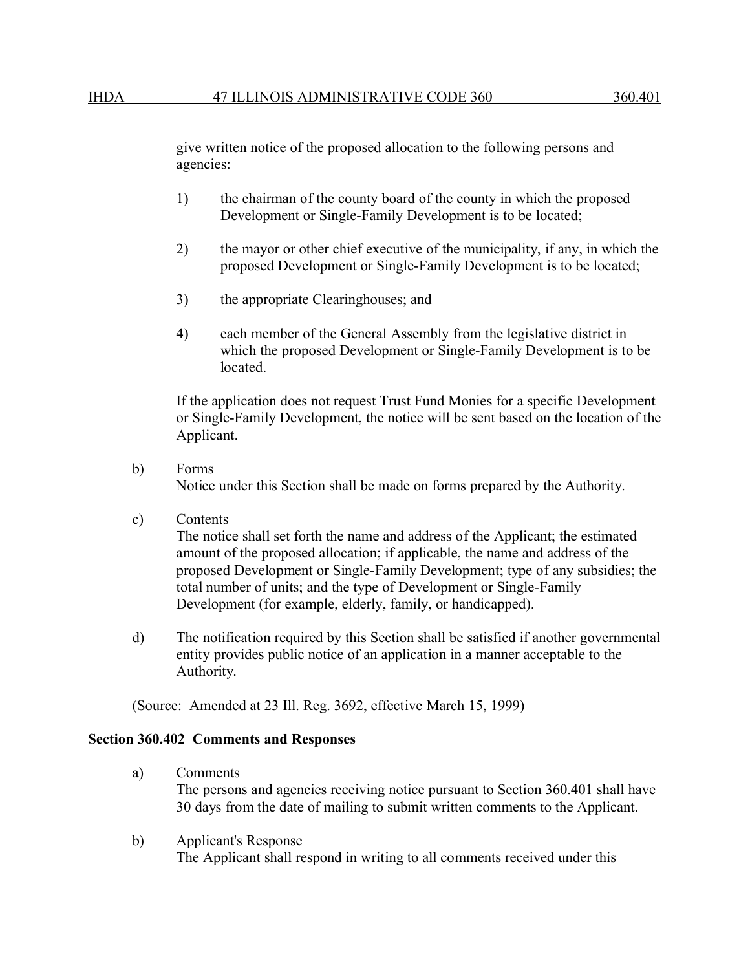give written notice of the proposed allocation to the following persons and agencies:

- 1) the chairman of the county board of the county in which the proposed Development or Single-Family Development is to be located;
- 2) the mayor or other chief executive of the municipality, if any, in which the proposed Development or Single-Family Development is to be located;
- 3) the appropriate Clearinghouses; and
- 4) each member of the General Assembly from the legislative district in which the proposed Development or Single-Family Development is to be located.

If the application does not request Trust Fund Monies for a specific Development or Single-Family Development, the notice will be sent based on the location of the Applicant.

- b) Forms Notice under this Section shall be made on forms prepared by the Authority.
- c) Contents

The notice shall set forth the name and address of the Applicant; the estimated amount of the proposed allocation; if applicable, the name and address of the proposed Development or Single-Family Development; type of any subsidies; the total number of units; and the type of Development or Single-Family Development (for example, elderly, family, or handicapped).

d) The notification required by this Section shall be satisfied if another governmental entity provides public notice of an application in a manner acceptable to the Authority.

(Source: Amended at 23 Ill. Reg. 3692, effective March 15, 1999)

#### **Section 360.402 Comments and Responses**

- a) Comments The persons and agencies receiving notice pursuant to Section 360.401 shall have 30 days from the date of mailing to submit written comments to the Applicant.
- b) Applicant's Response The Applicant shall respond in writing to all comments received under this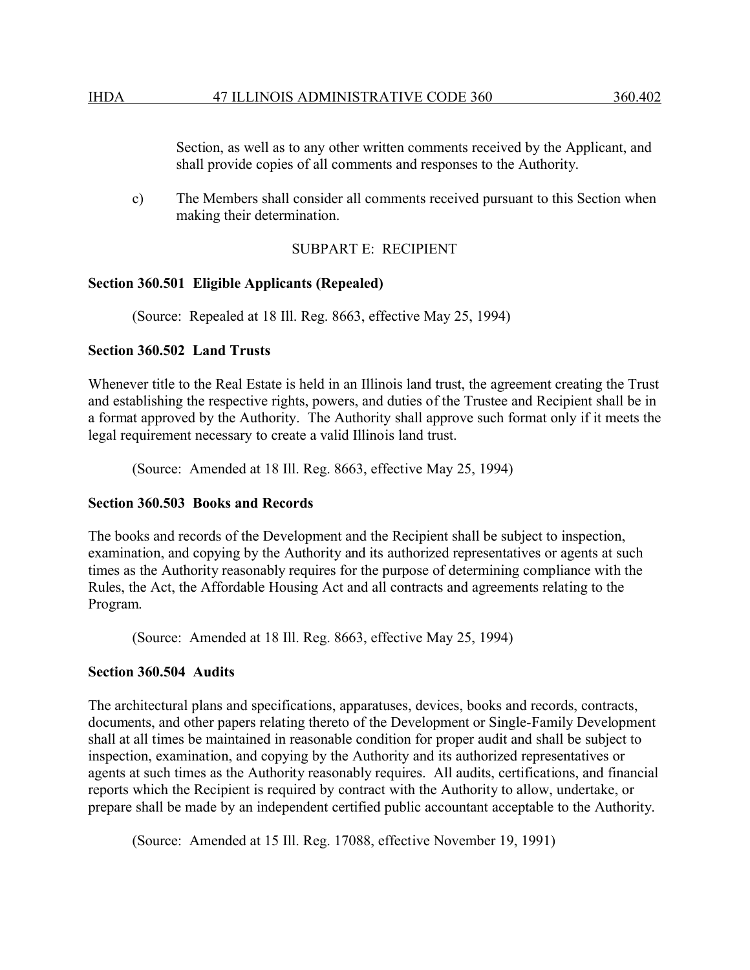Section, as well as to any other written comments received by the Applicant, and shall provide copies of all comments and responses to the Authority.

c) The Members shall consider all comments received pursuant to this Section when making their determination.

### SUBPART E: RECIPIENT

### **Section 360.501 Eligible Applicants (Repealed)**

(Source: Repealed at 18 Ill. Reg. 8663, effective May 25, 1994)

### **Section 360.502 Land Trusts**

Whenever title to the Real Estate is held in an Illinois land trust, the agreement creating the Trust and establishing the respective rights, powers, and duties of the Trustee and Recipient shall be in a format approved by the Authority. The Authority shall approve such format only if it meets the legal requirement necessary to create a valid Illinois land trust.

(Source: Amended at 18 Ill. Reg. 8663, effective May 25, 1994)

#### **Section 360.503 Books and Records**

The books and records of the Development and the Recipient shall be subject to inspection, examination, and copying by the Authority and its authorized representatives or agents at such times as the Authority reasonably requires for the purpose of determining compliance with the Rules, the Act, the Affordable Housing Act and all contracts and agreements relating to the Program.

(Source: Amended at 18 Ill. Reg. 8663, effective May 25, 1994)

#### **Section 360.504 Audits**

The architectural plans and specifications, apparatuses, devices, books and records, contracts, documents, and other papers relating thereto of the Development or Single-Family Development shall at all times be maintained in reasonable condition for proper audit and shall be subject to inspection, examination, and copying by the Authority and its authorized representatives or agents at such times as the Authority reasonably requires. All audits, certifications, and financial reports which the Recipient is required by contract with the Authority to allow, undertake, or prepare shall be made by an independent certified public accountant acceptable to the Authority.

(Source: Amended at 15 Ill. Reg. 17088, effective November 19, 1991)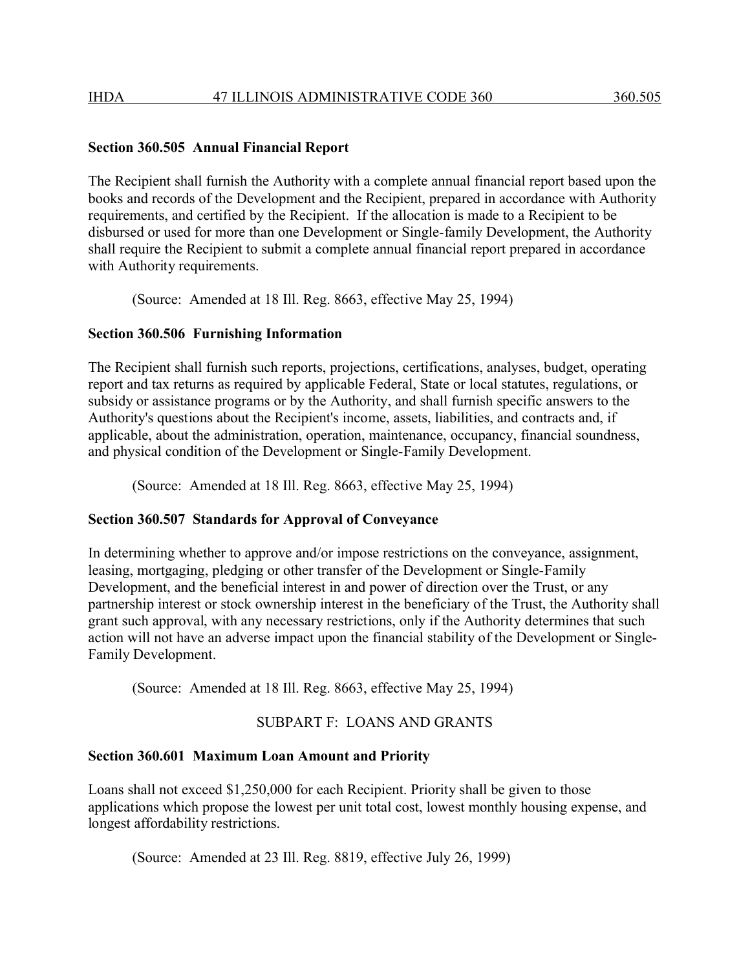#### **Section 360.505 Annual Financial Report**

The Recipient shall furnish the Authority with a complete annual financial report based upon the books and records of the Development and the Recipient, prepared in accordance with Authority requirements, and certified by the Recipient. If the allocation is made to a Recipient to be disbursed or used for more than one Development or Single-family Development, the Authority shall require the Recipient to submit a complete annual financial report prepared in accordance with Authority requirements.

(Source: Amended at 18 Ill. Reg. 8663, effective May 25, 1994)

#### **Section 360.506 Furnishing Information**

The Recipient shall furnish such reports, projections, certifications, analyses, budget, operating report and tax returns as required by applicable Federal, State or local statutes, regulations, or subsidy or assistance programs or by the Authority, and shall furnish specific answers to the Authority's questions about the Recipient's income, assets, liabilities, and contracts and, if applicable, about the administration, operation, maintenance, occupancy, financial soundness, and physical condition of the Development or Single-Family Development.

(Source: Amended at 18 Ill. Reg. 8663, effective May 25, 1994)

#### **Section 360.507 Standards for Approval of Conveyance**

In determining whether to approve and/or impose restrictions on the conveyance, assignment, leasing, mortgaging, pledging or other transfer of the Development or Single-Family Development, and the beneficial interest in and power of direction over the Trust, or any partnership interest or stock ownership interest in the beneficiary of the Trust, the Authority shall grant such approval, with any necessary restrictions, only if the Authority determines that such action will not have an adverse impact upon the financial stability of the Development or Single-Family Development.

(Source: Amended at 18 Ill. Reg. 8663, effective May 25, 1994)

## SUBPART F: LOANS AND GRANTS

#### **Section 360.601 Maximum Loan Amount and Priority**

Loans shall not exceed \$1,250,000 for each Recipient. Priority shall be given to those applications which propose the lowest per unit total cost, lowest monthly housing expense, and longest affordability restrictions.

(Source: Amended at 23 Ill. Reg. 8819, effective July 26, 1999)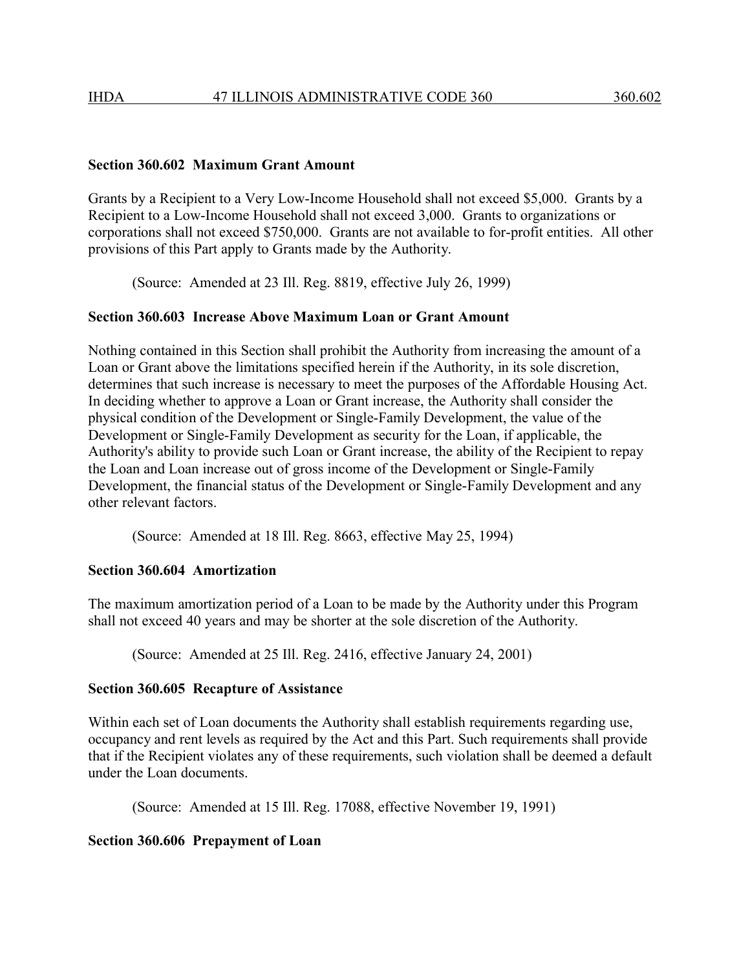#### **Section 360.602 Maximum Grant Amount**

Grants by a Recipient to a Very Low-Income Household shall not exceed \$5,000. Grants by a Recipient to a Low-Income Household shall not exceed 3,000. Grants to organizations or corporations shall not exceed \$750,000. Grants are not available to for-profit entities. All other provisions of this Part apply to Grants made by the Authority.

(Source: Amended at 23 Ill. Reg. 8819, effective July 26, 1999)

### **Section 360.603 Increase Above Maximum Loan or Grant Amount**

Nothing contained in this Section shall prohibit the Authority from increasing the amount of a Loan or Grant above the limitations specified herein if the Authority, in its sole discretion, determines that such increase is necessary to meet the purposes of the Affordable Housing Act. In deciding whether to approve a Loan or Grant increase, the Authority shall consider the physical condition of the Development or Single-Family Development, the value of the Development or Single-Family Development as security for the Loan, if applicable, the Authority's ability to provide such Loan or Grant increase, the ability of the Recipient to repay the Loan and Loan increase out of gross income of the Development or Single-Family Development, the financial status of the Development or Single-Family Development and any other relevant factors.

(Source: Amended at 18 Ill. Reg. 8663, effective May 25, 1994)

#### **Section 360.604 Amortization**

The maximum amortization period of a Loan to be made by the Authority under this Program shall not exceed 40 years and may be shorter at the sole discretion of the Authority.

(Source: Amended at 25 Ill. Reg. 2416, effective January 24, 2001)

#### **Section 360.605 Recapture of Assistance**

Within each set of Loan documents the Authority shall establish requirements regarding use, occupancy and rent levels as required by the Act and this Part. Such requirements shall provide that if the Recipient violates any of these requirements, such violation shall be deemed a default under the Loan documents.

(Source: Amended at 15 Ill. Reg. 17088, effective November 19, 1991)

### **Section 360.606 Prepayment of Loan**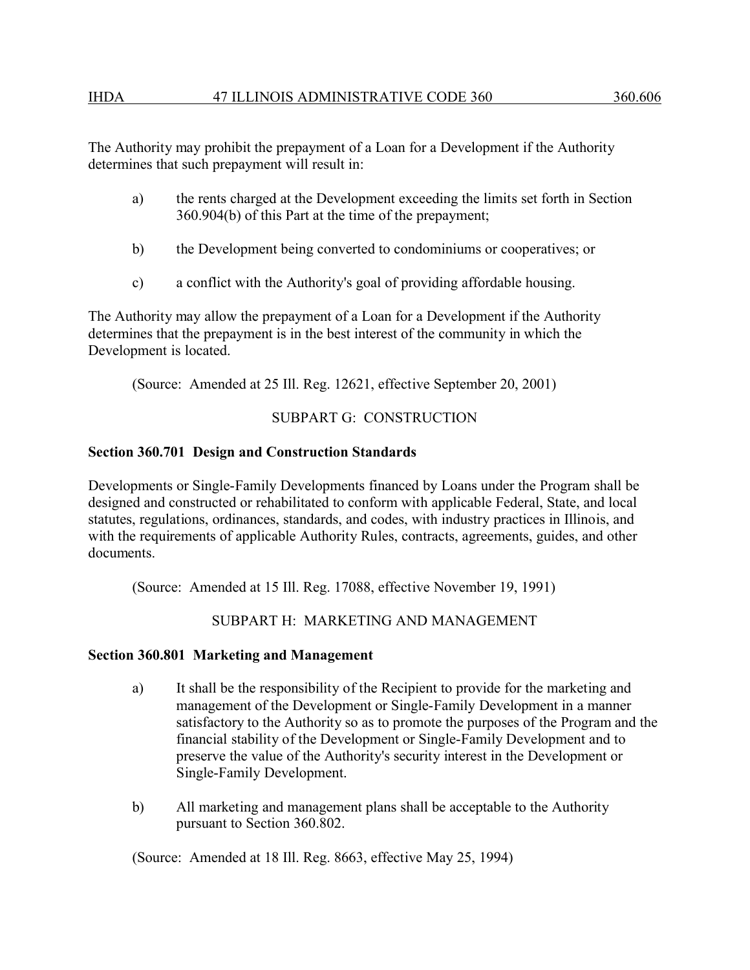#### IHDA 47 ILLINOIS ADMINISTRATIVE CODE 360 360.606

The Authority may prohibit the prepayment of a Loan for a Development if the Authority determines that such prepayment will result in:

- a) the rents charged at the Development exceeding the limits set forth in Section 360.904(b) of this Part at the time of the prepayment;
- b) the Development being converted to condominiums or cooperatives; or
- c) a conflict with the Authority's goal of providing affordable housing.

The Authority may allow the prepayment of a Loan for a Development if the Authority determines that the prepayment is in the best interest of the community in which the Development is located.

(Source: Amended at 25 Ill. Reg. 12621, effective September 20, 2001)

## SUBPART G: CONSTRUCTION

### **Section 360.701 Design and Construction Standards**

Developments or Single-Family Developments financed by Loans under the Program shall be designed and constructed or rehabilitated to conform with applicable Federal, State, and local statutes, regulations, ordinances, standards, and codes, with industry practices in Illinois, and with the requirements of applicable Authority Rules, contracts, agreements, guides, and other documents.

(Source: Amended at 15 Ill. Reg. 17088, effective November 19, 1991)

SUBPART H: MARKETING AND MANAGEMENT

#### **Section 360.801 Marketing and Management**

- a) It shall be the responsibility of the Recipient to provide for the marketing and management of the Development or Single-Family Development in a manner satisfactory to the Authority so as to promote the purposes of the Program and the financial stability of the Development or Single-Family Development and to preserve the value of the Authority's security interest in the Development or Single-Family Development.
- b) All marketing and management plans shall be acceptable to the Authority pursuant to Section 360.802.

(Source: Amended at 18 Ill. Reg. 8663, effective May 25, 1994)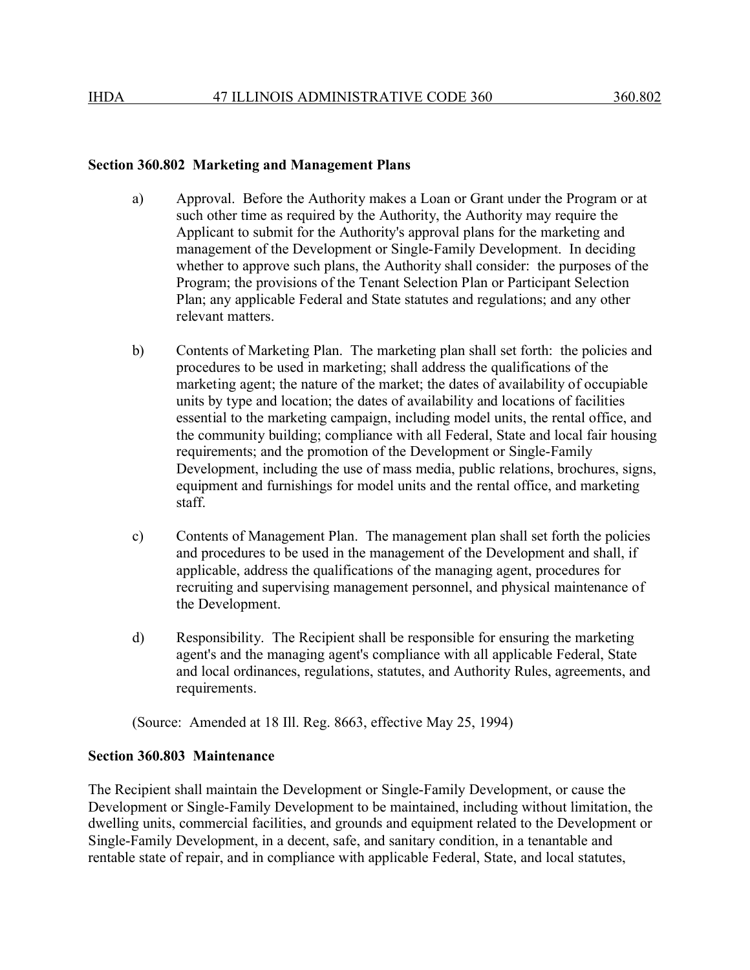#### **Section 360.802 Marketing and Management Plans**

- a) Approval. Before the Authority makes a Loan or Grant under the Program or at such other time as required by the Authority, the Authority may require the Applicant to submit for the Authority's approval plans for the marketing and management of the Development or Single-Family Development. In deciding whether to approve such plans, the Authority shall consider: the purposes of the Program; the provisions of the Tenant Selection Plan or Participant Selection Plan; any applicable Federal and State statutes and regulations; and any other relevant matters.
- b) Contents of Marketing Plan. The marketing plan shall set forth: the policies and procedures to be used in marketing; shall address the qualifications of the marketing agent; the nature of the market; the dates of availability of occupiable units by type and location; the dates of availability and locations of facilities essential to the marketing campaign, including model units, the rental office, and the community building; compliance with all Federal, State and local fair housing requirements; and the promotion of the Development or Single-Family Development, including the use of mass media, public relations, brochures, signs, equipment and furnishings for model units and the rental office, and marketing staff.
- c) Contents of Management Plan. The management plan shall set forth the policies and procedures to be used in the management of the Development and shall, if applicable, address the qualifications of the managing agent, procedures for recruiting and supervising management personnel, and physical maintenance of the Development.
- d) Responsibility. The Recipient shall be responsible for ensuring the marketing agent's and the managing agent's compliance with all applicable Federal, State and local ordinances, regulations, statutes, and Authority Rules, agreements, and requirements.

(Source: Amended at 18 Ill. Reg. 8663, effective May 25, 1994)

### **Section 360.803 Maintenance**

The Recipient shall maintain the Development or Single-Family Development, or cause the Development or Single-Family Development to be maintained, including without limitation, the dwelling units, commercial facilities, and grounds and equipment related to the Development or Single-Family Development, in a decent, safe, and sanitary condition, in a tenantable and rentable state of repair, and in compliance with applicable Federal, State, and local statutes,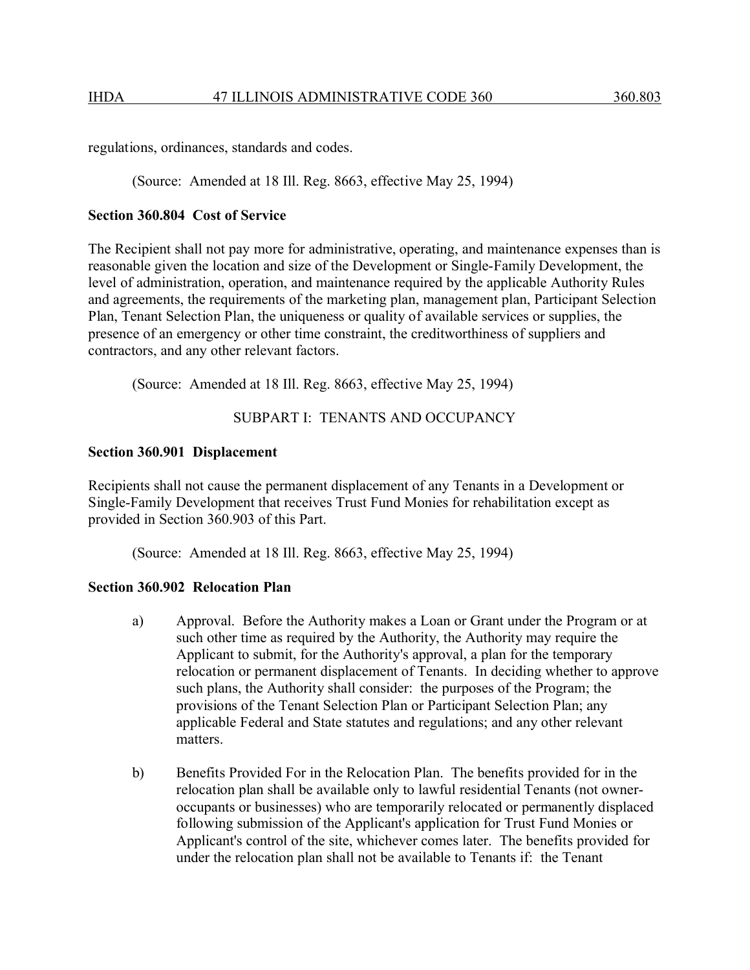regulations, ordinances, standards and codes.

(Source: Amended at 18 Ill. Reg. 8663, effective May 25, 1994)

### **Section 360.804 Cost of Service**

The Recipient shall not pay more for administrative, operating, and maintenance expenses than is reasonable given the location and size of the Development or Single-Family Development, the level of administration, operation, and maintenance required by the applicable Authority Rules and agreements, the requirements of the marketing plan, management plan, Participant Selection Plan, Tenant Selection Plan, the uniqueness or quality of available services or supplies, the presence of an emergency or other time constraint, the creditworthiness of suppliers and contractors, and any other relevant factors.

(Source: Amended at 18 Ill. Reg. 8663, effective May 25, 1994)

## SUBPART I: TENANTS AND OCCUPANCY

#### **Section 360.901 Displacement**

Recipients shall not cause the permanent displacement of any Tenants in a Development or Single-Family Development that receives Trust Fund Monies for rehabilitation except as provided in Section 360.903 of this Part.

(Source: Amended at 18 Ill. Reg. 8663, effective May 25, 1994)

### **Section 360.902 Relocation Plan**

- a) Approval. Before the Authority makes a Loan or Grant under the Program or at such other time as required by the Authority, the Authority may require the Applicant to submit, for the Authority's approval, a plan for the temporary relocation or permanent displacement of Tenants. In deciding whether to approve such plans, the Authority shall consider: the purposes of the Program; the provisions of the Tenant Selection Plan or Participant Selection Plan; any applicable Federal and State statutes and regulations; and any other relevant matters.
- b) Benefits Provided For in the Relocation Plan. The benefits provided for in the relocation plan shall be available only to lawful residential Tenants (not owneroccupants or businesses) who are temporarily relocated or permanently displaced following submission of the Applicant's application for Trust Fund Monies or Applicant's control of the site, whichever comes later. The benefits provided for under the relocation plan shall not be available to Tenants if: the Tenant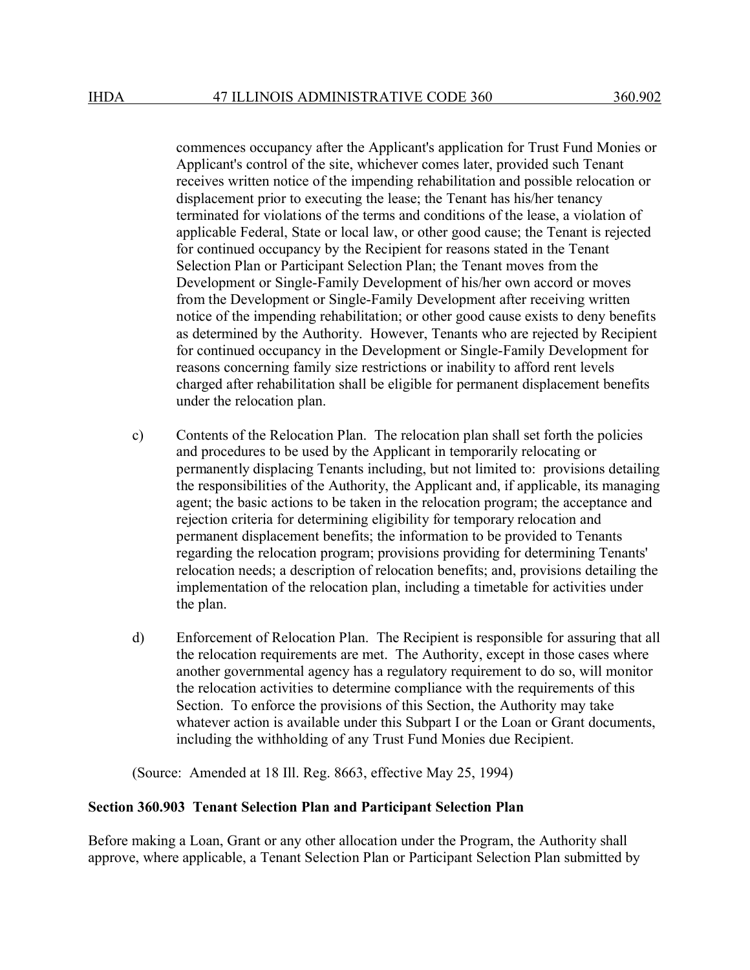commences occupancy after the Applicant's application for Trust Fund Monies or Applicant's control of the site, whichever comes later, provided such Tenant receives written notice of the impending rehabilitation and possible relocation or displacement prior to executing the lease; the Tenant has his/her tenancy terminated for violations of the terms and conditions of the lease, a violation of applicable Federal, State or local law, or other good cause; the Tenant is rejected for continued occupancy by the Recipient for reasons stated in the Tenant Selection Plan or Participant Selection Plan; the Tenant moves from the Development or Single-Family Development of his/her own accord or moves from the Development or Single-Family Development after receiving written notice of the impending rehabilitation; or other good cause exists to deny benefits as determined by the Authority. However, Tenants who are rejected by Recipient for continued occupancy in the Development or Single-Family Development for reasons concerning family size restrictions or inability to afford rent levels charged after rehabilitation shall be eligible for permanent displacement benefits under the relocation plan.

- c) Contents of the Relocation Plan. The relocation plan shall set forth the policies and procedures to be used by the Applicant in temporarily relocating or permanently displacing Tenants including, but not limited to: provisions detailing the responsibilities of the Authority, the Applicant and, if applicable, its managing agent; the basic actions to be taken in the relocation program; the acceptance and rejection criteria for determining eligibility for temporary relocation and permanent displacement benefits; the information to be provided to Tenants regarding the relocation program; provisions providing for determining Tenants' relocation needs; a description of relocation benefits; and, provisions detailing the implementation of the relocation plan, including a timetable for activities under the plan.
- d) Enforcement of Relocation Plan. The Recipient is responsible for assuring that all the relocation requirements are met. The Authority, except in those cases where another governmental agency has a regulatory requirement to do so, will monitor the relocation activities to determine compliance with the requirements of this Section. To enforce the provisions of this Section, the Authority may take whatever action is available under this Subpart I or the Loan or Grant documents, including the withholding of any Trust Fund Monies due Recipient.

(Source: Amended at 18 Ill. Reg. 8663, effective May 25, 1994)

### **Section 360.903 Tenant Selection Plan and Participant Selection Plan**

Before making a Loan, Grant or any other allocation under the Program, the Authority shall approve, where applicable, a Tenant Selection Plan or Participant Selection Plan submitted by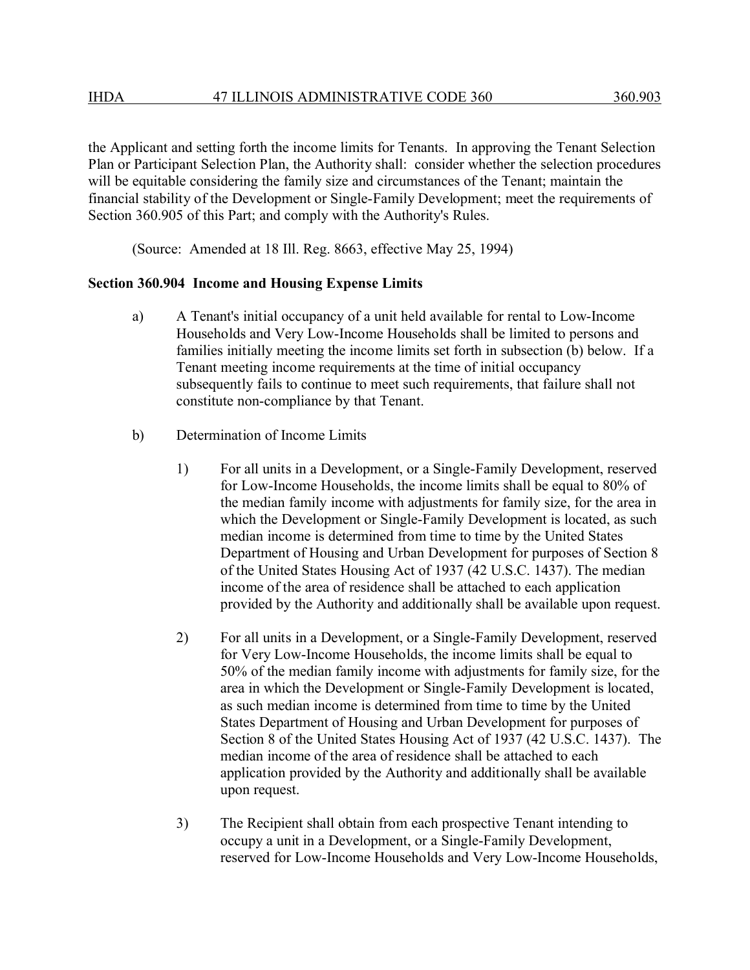the Applicant and setting forth the income limits for Tenants. In approving the Tenant Selection Plan or Participant Selection Plan, the Authority shall: consider whether the selection procedures will be equitable considering the family size and circumstances of the Tenant; maintain the financial stability of the Development or Single-Family Development; meet the requirements of Section 360.905 of this Part; and comply with the Authority's Rules.

(Source: Amended at 18 Ill. Reg. 8663, effective May 25, 1994)

#### **Section 360.904 Income and Housing Expense Limits**

- a) A Tenant's initial occupancy of a unit held available for rental to Low-Income Households and Very Low-Income Households shall be limited to persons and families initially meeting the income limits set forth in subsection (b) below. If a Tenant meeting income requirements at the time of initial occupancy subsequently fails to continue to meet such requirements, that failure shall not constitute non-compliance by that Tenant.
- b) Determination of Income Limits
	- 1) For all units in a Development, or a Single-Family Development, reserved for Low-Income Households, the income limits shall be equal to 80% of the median family income with adjustments for family size, for the area in which the Development or Single-Family Development is located, as such median income is determined from time to time by the United States Department of Housing and Urban Development for purposes of Section 8 of the United States Housing Act of 1937 (42 U.S.C. 1437). The median income of the area of residence shall be attached to each application provided by the Authority and additionally shall be available upon request.
	- 2) For all units in a Development, or a Single-Family Development, reserved for Very Low-Income Households, the income limits shall be equal to 50% of the median family income with adjustments for family size, for the area in which the Development or Single-Family Development is located, as such median income is determined from time to time by the United States Department of Housing and Urban Development for purposes of Section 8 of the United States Housing Act of 1937 (42 U.S.C. 1437). The median income of the area of residence shall be attached to each application provided by the Authority and additionally shall be available upon request.
	- 3) The Recipient shall obtain from each prospective Tenant intending to occupy a unit in a Development, or a Single-Family Development, reserved for Low-Income Households and Very Low-Income Households,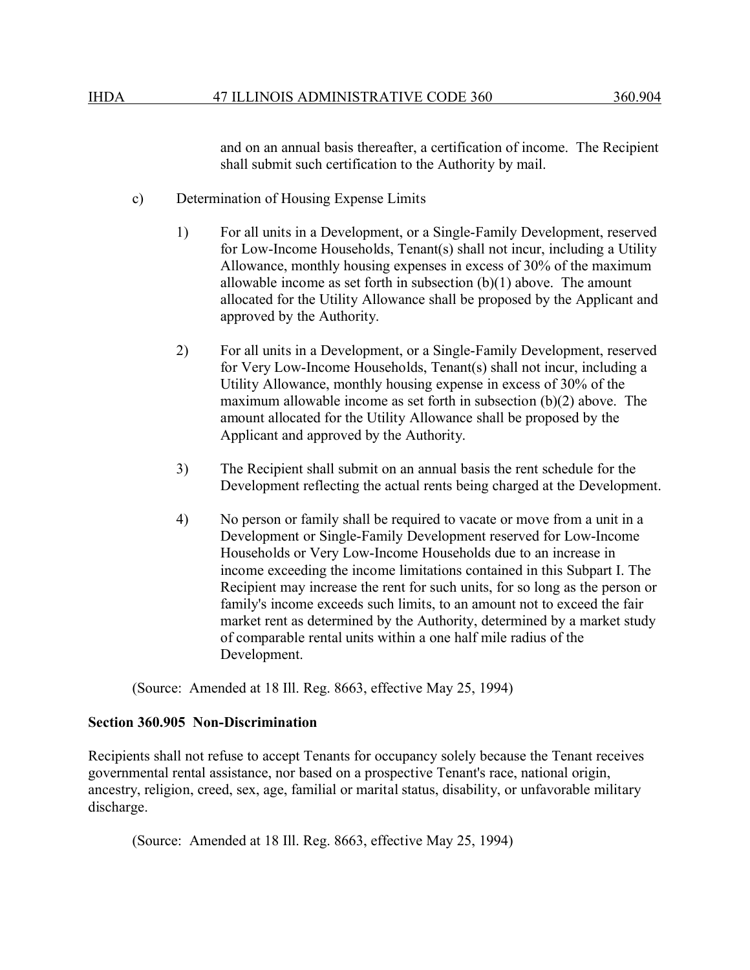and on an annual basis thereafter, a certification of income. The Recipient shall submit such certification to the Authority by mail.

- c) Determination of Housing Expense Limits
	- 1) For all units in a Development, or a Single-Family Development, reserved for Low-Income Households, Tenant(s) shall not incur, including a Utility Allowance, monthly housing expenses in excess of 30% of the maximum allowable income as set forth in subsection  $(b)(1)$  above. The amount allocated for the Utility Allowance shall be proposed by the Applicant and approved by the Authority.
	- 2) For all units in a Development, or a Single-Family Development, reserved for Very Low-Income Households, Tenant(s) shall not incur, including a Utility Allowance, monthly housing expense in excess of 30% of the maximum allowable income as set forth in subsection (b)(2) above. The amount allocated for the Utility Allowance shall be proposed by the Applicant and approved by the Authority.
	- 3) The Recipient shall submit on an annual basis the rent schedule for the Development reflecting the actual rents being charged at the Development.
	- 4) No person or family shall be required to vacate or move from a unit in a Development or Single-Family Development reserved for Low-Income Households or Very Low-Income Households due to an increase in income exceeding the income limitations contained in this Subpart I. The Recipient may increase the rent for such units, for so long as the person or family's income exceeds such limits, to an amount not to exceed the fair market rent as determined by the Authority, determined by a market study of comparable rental units within a one half mile radius of the Development.

(Source: Amended at 18 Ill. Reg. 8663, effective May 25, 1994)

## **Section 360.905 Non-Discrimination**

Recipients shall not refuse to accept Tenants for occupancy solely because the Tenant receives governmental rental assistance, nor based on a prospective Tenant's race, national origin, ancestry, religion, creed, sex, age, familial or marital status, disability, or unfavorable military discharge.

(Source: Amended at 18 Ill. Reg. 8663, effective May 25, 1994)